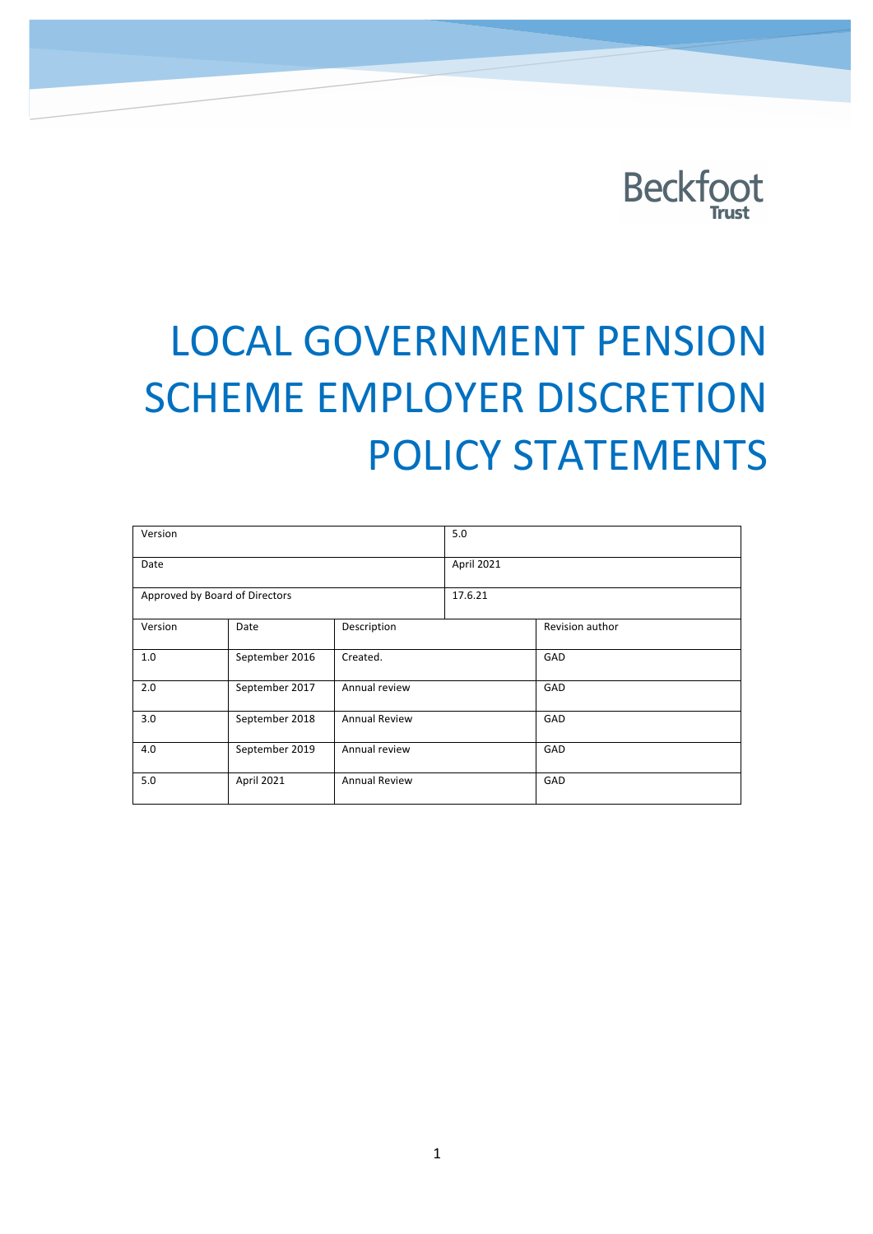

# LOCAL GOVERNMENT PENSION **SCHEME EMPLOYER DISCRETION** POLICY STATEMENTS

| Version                        |                |                      | 5.0        |                 |
|--------------------------------|----------------|----------------------|------------|-----------------|
| Date                           |                |                      | April 2021 |                 |
| Approved by Board of Directors |                |                      | 17.6.21    |                 |
| Version                        | Date           | Description          |            | Revision author |
| 1.0                            | September 2016 | Created.             |            | GAD             |
| 2.0                            | September 2017 | Annual review        |            | GAD             |
| 3.0                            | September 2018 | <b>Annual Review</b> |            | GAD             |
| 4.0                            | September 2019 | Annual review        |            | GAD             |
| 5.0                            | April 2021     | <b>Annual Review</b> |            | GAD             |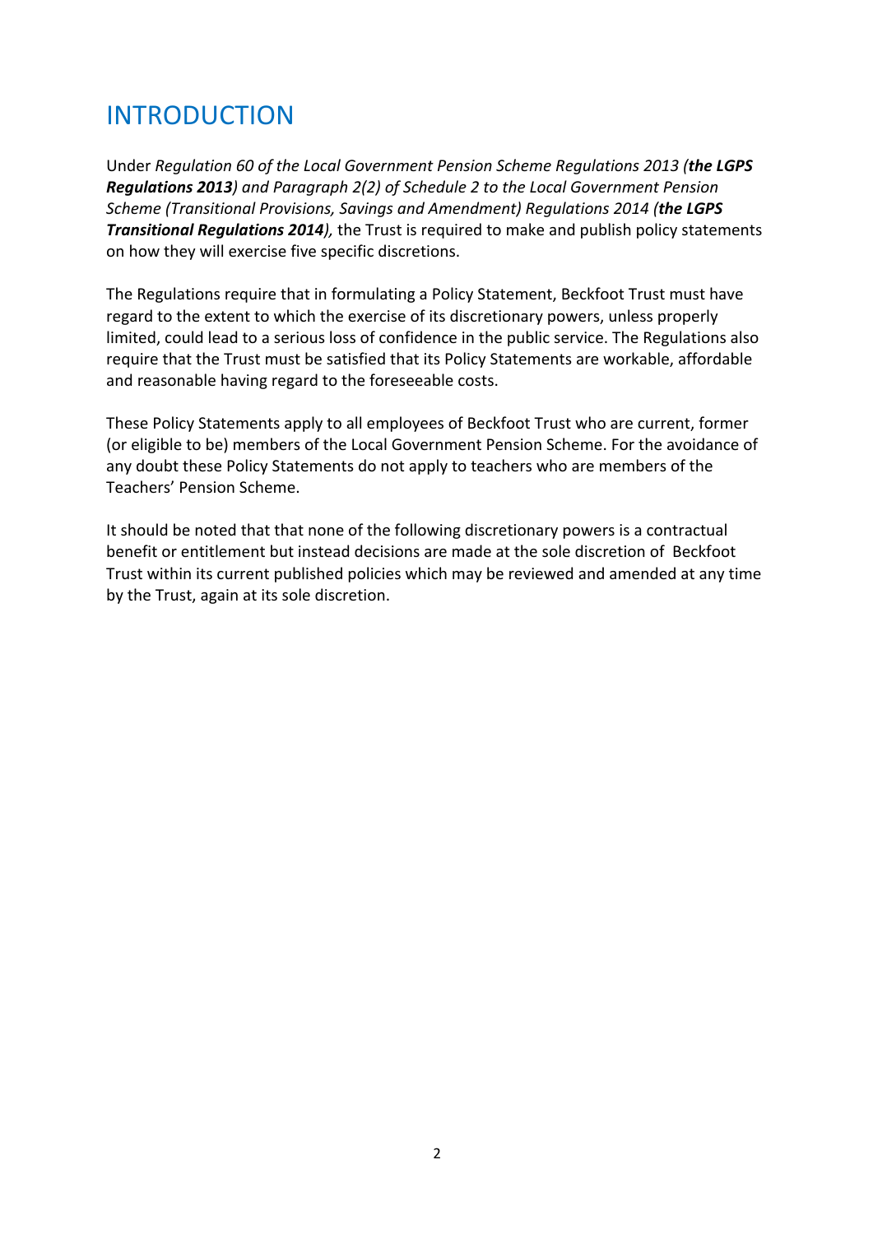### **INTRODUCTION**

Under *Regulation* 60 of the Local Government Pension Scheme Regulations 2013 (the LGPS **Regulations 2013**) and Paragraph 2(2) of Schedule 2 to the Local Government Pension *Scheme (Transitional Provisions, Savings and Amendment) Regulations 2014 (the LGPS* **Transitional Regulations 2014***)*, the Trust is required to make and publish policy statements on how they will exercise five specific discretions.

The Regulations require that in formulating a Policy Statement, Beckfoot Trust must have regard to the extent to which the exercise of its discretionary powers, unless properly limited, could lead to a serious loss of confidence in the public service. The Regulations also require that the Trust must be satisfied that its Policy Statements are workable, affordable and reasonable having regard to the foreseeable costs.

These Policy Statements apply to all employees of Beckfoot Trust who are current, former (or eligible to be) members of the Local Government Pension Scheme. For the avoidance of any doubt these Policy Statements do not apply to teachers who are members of the Teachers' Pension Scheme.

It should be noted that that none of the following discretionary powers is a contractual benefit or entitlement but instead decisions are made at the sole discretion of Beckfoot Trust within its current published policies which may be reviewed and amended at any time by the Trust, again at its sole discretion.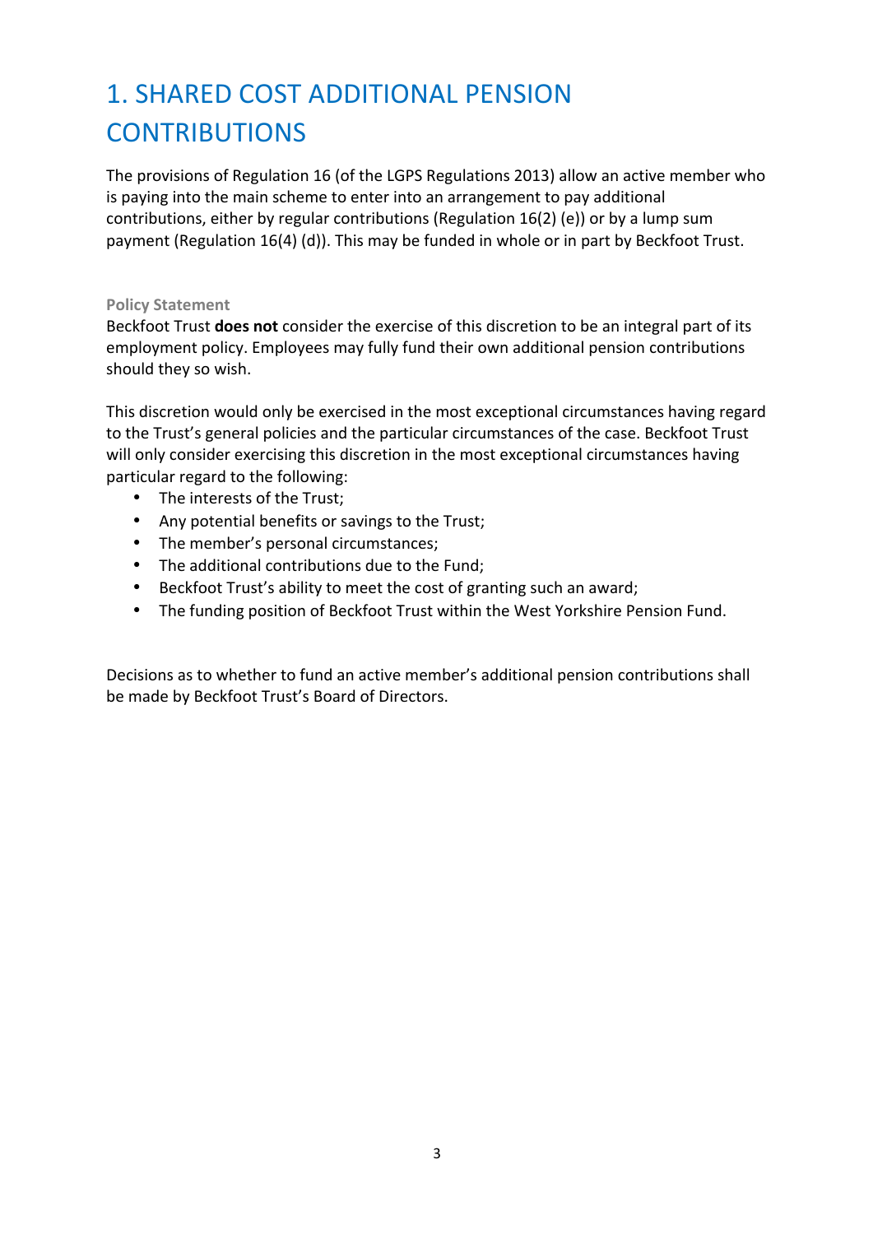## 1. SHARED COST ADDITIONAL PENSION **CONTRIBUTIONS**

The provisions of Regulation 16 (of the LGPS Regulations 2013) allow an active member who is paying into the main scheme to enter into an arrangement to pay additional contributions, either by regular contributions (Regulation  $16(2)$  (e)) or by a lump sum payment (Regulation  $16(4)$  (d)). This may be funded in whole or in part by Beckfoot Trust.

#### **Policy Statement**

Beckfoot Trust **does not** consider the exercise of this discretion to be an integral part of its employment policy. Employees may fully fund their own additional pension contributions should they so wish.

This discretion would only be exercised in the most exceptional circumstances having regard to the Trust's general policies and the particular circumstances of the case. Beckfoot Trust will only consider exercising this discretion in the most exceptional circumstances having particular regard to the following:

- The interests of the Trust;
- Any potential benefits or savings to the Trust;
- The member's personal circumstances;
- The additional contributions due to the Fund;
- Beckfoot Trust's ability to meet the cost of granting such an award;
- The funding position of Beckfoot Trust within the West Yorkshire Pension Fund.

Decisions as to whether to fund an active member's additional pension contributions shall be made by Beckfoot Trust's Board of Directors.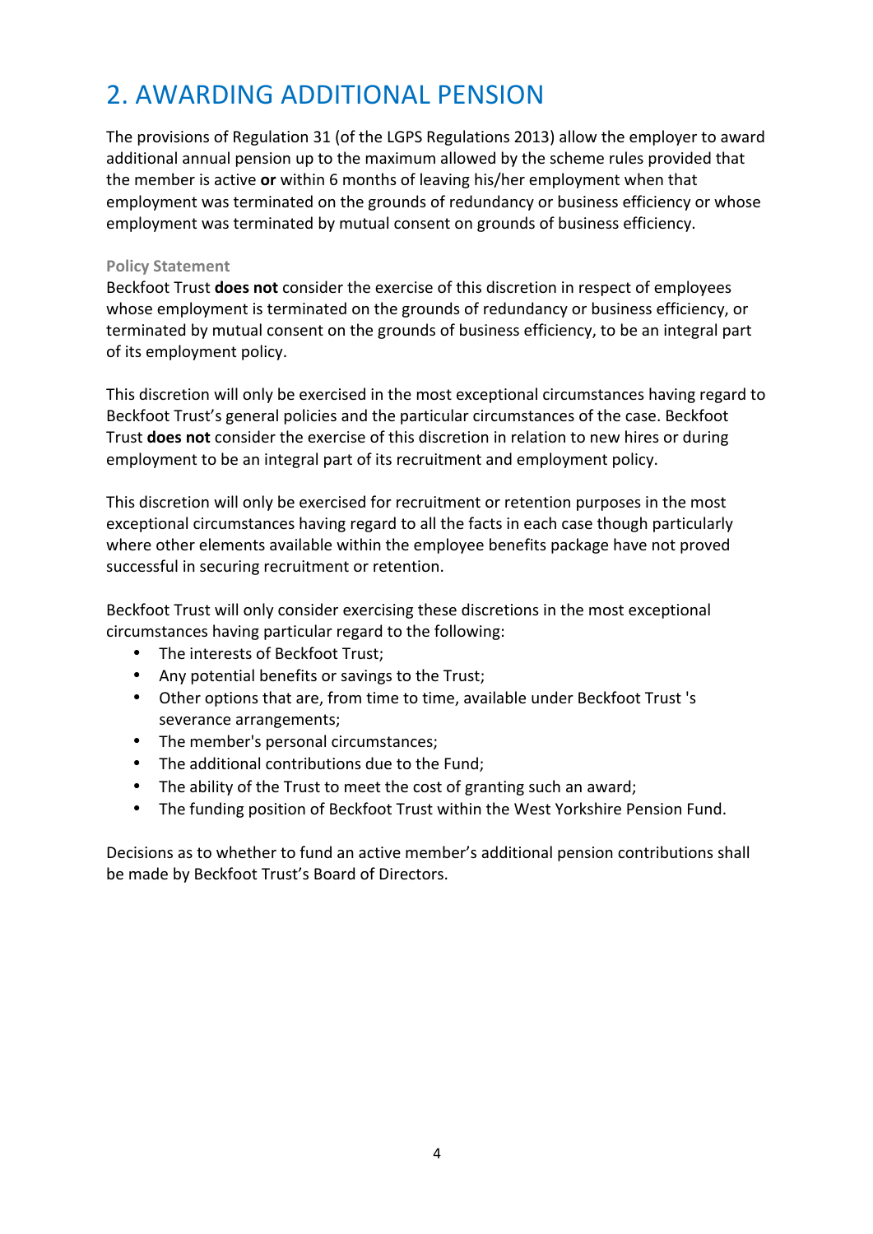### 2. AWARDING ADDITIONAL PENSION

The provisions of Regulation 31 (of the LGPS Regulations 2013) allow the employer to award additional annual pension up to the maximum allowed by the scheme rules provided that the member is active or within 6 months of leaving his/her employment when that employment was terminated on the grounds of redundancy or business efficiency or whose employment was terminated by mutual consent on grounds of business efficiency.

#### **Policy Statement**

Beckfoot Trust **does not** consider the exercise of this discretion in respect of employees whose employment is terminated on the grounds of redundancy or business efficiency, or terminated by mutual consent on the grounds of business efficiency, to be an integral part of its employment policy.

This discretion will only be exercised in the most exceptional circumstances having regard to Beckfoot Trust's general policies and the particular circumstances of the case. Beckfoot Trust **does not** consider the exercise of this discretion in relation to new hires or during employment to be an integral part of its recruitment and employment policy.

This discretion will only be exercised for recruitment or retention purposes in the most exceptional circumstances having regard to all the facts in each case though particularly where other elements available within the employee benefits package have not proved successful in securing recruitment or retention.

Beckfoot Trust will only consider exercising these discretions in the most exceptional circumstances having particular regard to the following:

- The interests of Beckfoot Trust;
- Any potential benefits or savings to the Trust;
- Other options that are, from time to time, available under Beckfoot Trust 's severance arrangements;
- The member's personal circumstances;
- The additional contributions due to the Fund;
- The ability of the Trust to meet the cost of granting such an award;
- The funding position of Beckfoot Trust within the West Yorkshire Pension Fund.

Decisions as to whether to fund an active member's additional pension contributions shall be made by Beckfoot Trust's Board of Directors.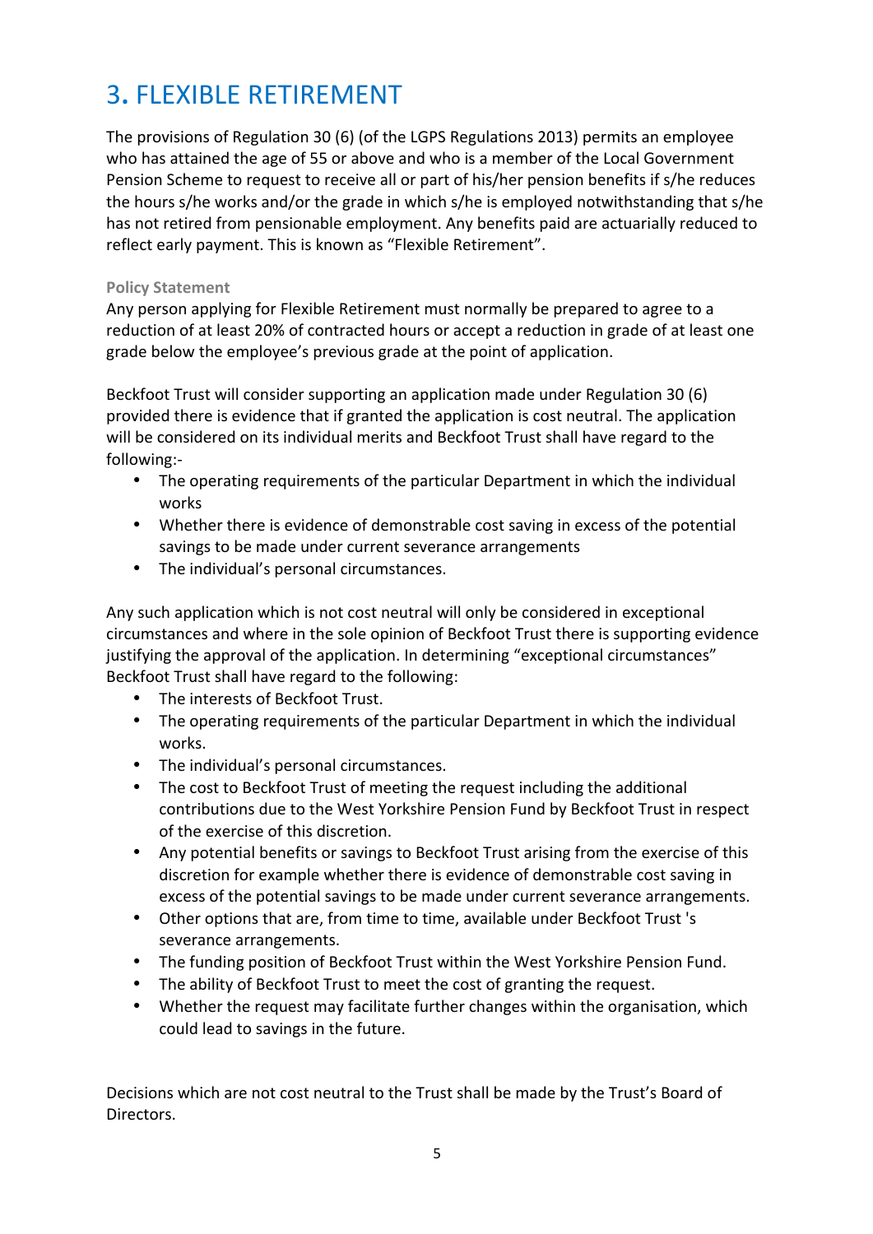### 3**.** FLEXIBLE RETIREMENT

The provisions of Regulation 30 (6) (of the LGPS Regulations 2013) permits an employee who has attained the age of 55 or above and who is a member of the Local Government Pension Scheme to request to receive all or part of his/her pension benefits if s/he reduces the hours s/he works and/or the grade in which s/he is employed notwithstanding that s/he has not retired from pensionable employment. Any benefits paid are actuarially reduced to reflect early payment. This is known as "Flexible Retirement".

#### **Policy Statement**

Any person applying for Flexible Retirement must normally be prepared to agree to a reduction of at least 20% of contracted hours or accept a reduction in grade of at least one grade below the employee's previous grade at the point of application.

Beckfoot Trust will consider supporting an application made under Regulation 30 (6) provided there is evidence that if granted the application is cost neutral. The application will be considered on its individual merits and Beckfoot Trust shall have regard to the following:-

- The operating requirements of the particular Department in which the individual works
- Whether there is evidence of demonstrable cost saving in excess of the potential savings to be made under current severance arrangements
- The individual's personal circumstances.

Any such application which is not cost neutral will only be considered in exceptional circumstances and where in the sole opinion of Beckfoot Trust there is supporting evidence justifying the approval of the application. In determining "exceptional circumstances" Beckfoot Trust shall have regard to the following:

- The interests of Beckfoot Trust.
- The operating requirements of the particular Department in which the individual works.
- The individual's personal circumstances.
- The cost to Beckfoot Trust of meeting the request including the additional contributions due to the West Yorkshire Pension Fund by Beckfoot Trust in respect of the exercise of this discretion.
- Any potential benefits or savings to Beckfoot Trust arising from the exercise of this discretion for example whether there is evidence of demonstrable cost saving in excess of the potential savings to be made under current severance arrangements.
- Other options that are, from time to time, available under Beckfoot Trust's severance arrangements.
- The funding position of Beckfoot Trust within the West Yorkshire Pension Fund.
- The ability of Beckfoot Trust to meet the cost of granting the request.
- Whether the request may facilitate further changes within the organisation, which could lead to savings in the future.

Decisions which are not cost neutral to the Trust shall be made by the Trust's Board of Directors.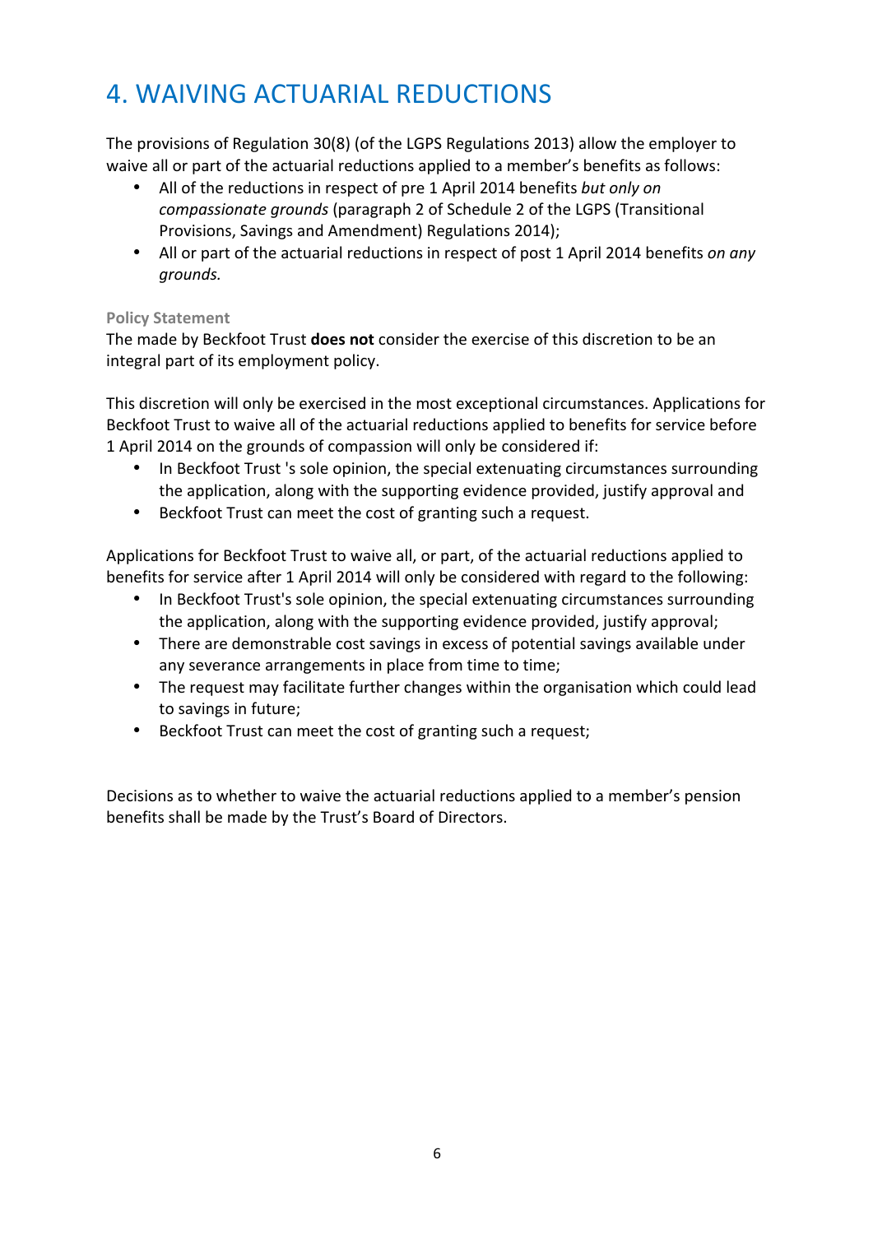### 4. WAIVING ACTUARIAL REDUCTIONS

The provisions of Regulation 30(8) (of the LGPS Regulations 2013) allow the employer to waive all or part of the actuarial reductions applied to a member's benefits as follows:

- All of the reductions in respect of pre 1 April 2014 benefits but only on *compassionate grounds* (paragraph 2 of Schedule 2 of the LGPS (Transitional Provisions, Savings and Amendment) Regulations 2014);
- All or part of the actuarial reductions in respect of post 1 April 2014 benefits *on any grounds.*

#### **Policy Statement**

The made by Beckfoot Trust **does not** consider the exercise of this discretion to be an integral part of its employment policy.

This discretion will only be exercised in the most exceptional circumstances. Applications for Beckfoot Trust to waive all of the actuarial reductions applied to benefits for service before 1 April 2014 on the grounds of compassion will only be considered if:

- In Beckfoot Trust 's sole opinion, the special extenuating circumstances surrounding the application, along with the supporting evidence provided, justify approval and
- Beckfoot Trust can meet the cost of granting such a request.

Applications for Beckfoot Trust to waive all, or part, of the actuarial reductions applied to benefits for service after 1 April 2014 will only be considered with regard to the following:

- In Beckfoot Trust's sole opinion, the special extenuating circumstances surrounding the application, along with the supporting evidence provided, justify approval;
- There are demonstrable cost savings in excess of potential savings available under any severance arrangements in place from time to time;
- The request may facilitate further changes within the organisation which could lead to savings in future;
- Beckfoot Trust can meet the cost of granting such a request:

Decisions as to whether to waive the actuarial reductions applied to a member's pension benefits shall be made by the Trust's Board of Directors.